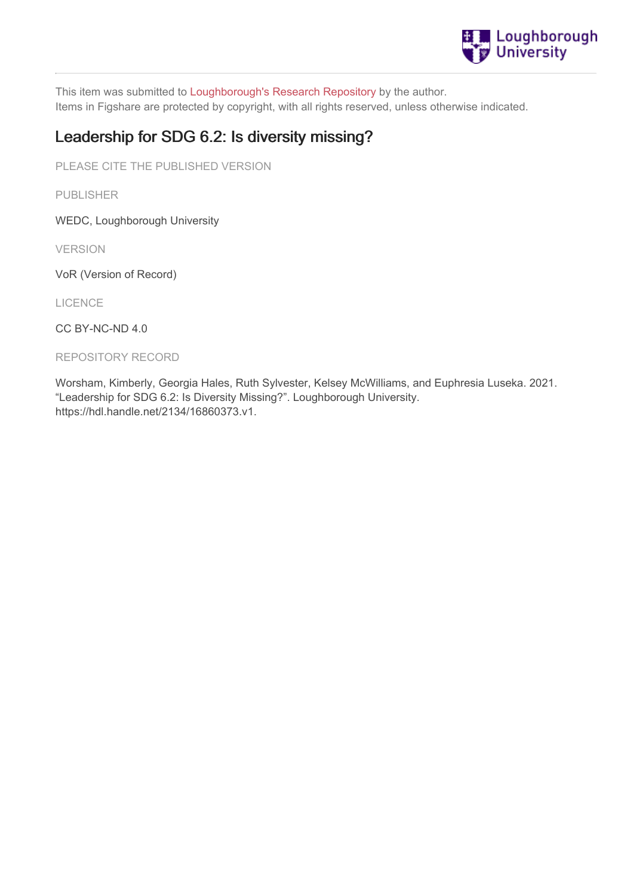

This item was submitted to [Loughborough's](https://lboro.figshare.com/) Research Repository by the author. Items in Figshare are protected by copyright, with all rights reserved, unless otherwise indicated.

# Leadership for SDG 6.2: Is diversity missing?

PLEASE CITE THE PUBLISHED VERSION

PUBLISHER

WEDC, Loughborough University

VERSION

VoR (Version of Record)

LICENCE

CC BY-NC-ND 4.0

REPOSITORY RECORD

Worsham, Kimberly, Georgia Hales, Ruth Sylvester, Kelsey McWilliams, and Euphresia Luseka. 2021. "Leadership for SDG 6.2: Is Diversity Missing?". Loughborough University. https://hdl.handle.net/2134/16860373.v1.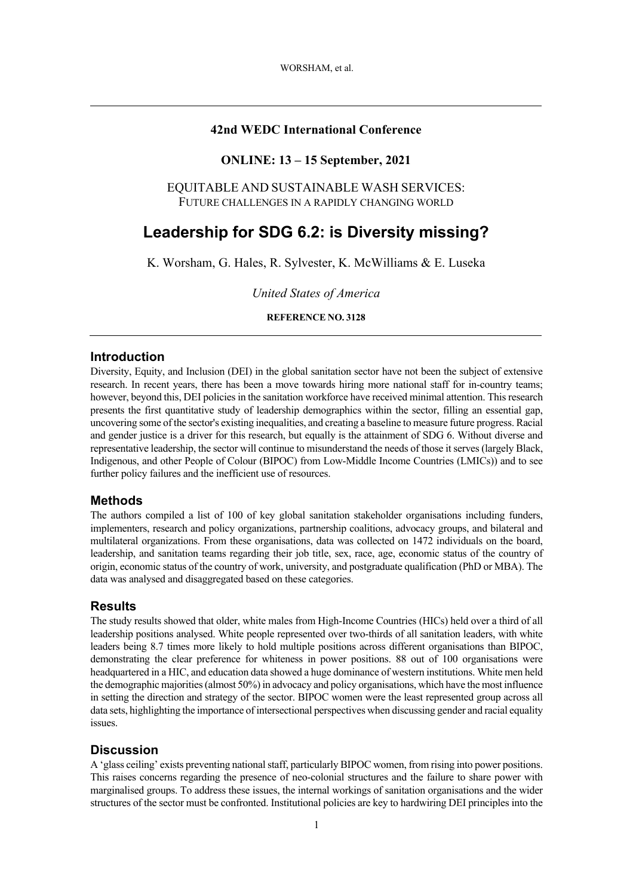### **42nd WEDC International Conference**

### **ONLINE: 13 – 15 September, 2021**

EQUITABLE AND SUSTAINABLE WASH SERVICES: FUTURE CHALLENGES IN A RAPIDLY CHANGING WORLD

# **Leadership for SDG 6.2: is Diversity missing?**

K. Worsham, G. Hales, R. Sylvester, K. McWilliams & E. Luseka

*United States of America*

#### **REFERENCE NO. 3128**

#### **Introduction**

Diversity, Equity, and Inclusion (DEI) in the global sanitation sector have not been the subject of extensive research. In recent years, there has been a move towards hiring more national staff for in-country teams; however, beyond this, DEI policies in the sanitation workforce have received minimal attention. This research presents the first quantitative study of leadership demographics within the sector, filling an essential gap, uncovering some of the sector's existing inequalities, and creating a baseline to measure future progress. Racial and gender justice is a driver for this research, but equally is the attainment of SDG 6. Without diverse and representative leadership, the sector will continue to misunderstand the needs of those it serves (largely Black, Indigenous, and other People of Colour (BIPOC) from Low-Middle Income Countries (LMICs)) and to see further policy failures and the inefficient use of resources.

#### **Methods**

The authors compiled a list of 100 of key global sanitation stakeholder organisations including funders, implementers, research and policy organizations, partnership coalitions, advocacy groups, and bilateral and multilateral organizations. From these organisations, data was collected on 1472 individuals on the board, leadership, and sanitation teams regarding their job title, sex, race, age, economic status of the country of origin, economic status of the country of work, university, and postgraduate qualification (PhD or MBA). The data was analysed and disaggregated based on these categories.

#### **Results**

The study results showed that older, white males from High-Income Countries (HICs) held over a third of all leadership positions analysed. White people represented over two-thirds of all sanitation leaders, with white leaders being 8.7 times more likely to hold multiple positions across different organisations than BIPOC, demonstrating the clear preference for whiteness in power positions. 88 out of 100 organisations were headquartered in a HIC, and education data showed a huge dominance of western institutions. White men held the demographic majorities (almost 50%) in advocacy and policy organisations, which have the most influence in setting the direction and strategy of the sector. BIPOC women were the least represented group across all data sets, highlighting the importance of intersectional perspectives when discussing gender and racial equality issues.

### **Discussion**

A 'glass ceiling' exists preventing national staff, particularly BIPOC women, from rising into power positions. This raises concerns regarding the presence of neo-colonial structures and the failure to share power with marginalised groups. To address these issues, the internal workings of sanitation organisations and the wider structures of the sector must be confronted. Institutional policies are key to hardwiring DEI principles into the